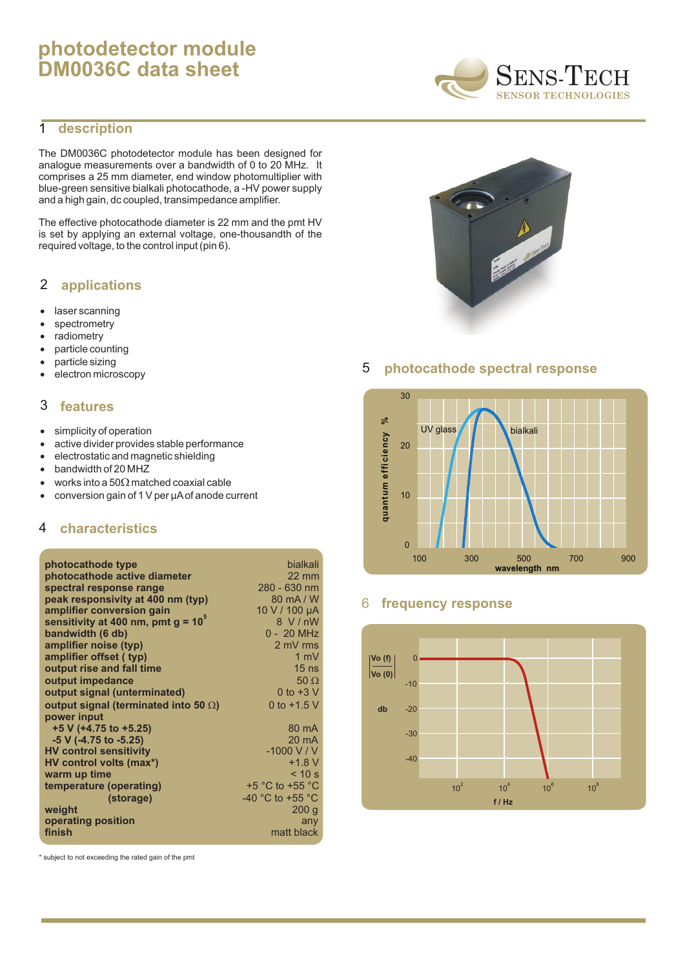# **photodetector module DM0036C data sheet**

# 1 **description**

The DM0036C photodetector module has been designed for analogue measurements over a bandwidth of 0 to 20 MHz. It comprises a 25 mm diameter, end window photomultiplier with blue-green sensitive bialkali photocathode, a -HV power supply and a high gain, dc coupled, transimpedance amplifier.

The effective photocathode diameter is 22 mm and the pmt HV is set by applying an external voltage, one-thousandth of the required voltage, to the control input (pin 6).

#### **applications** 2

laser scanning spectrometry radiometry particle counting particle sizing electron microscopy

#### **features** 3

simplicity of operation active divider provides stable performance electrostatic and magnetic shielding bandwidth of 20 MHZ works into a 50 matched coaxial cable conversion gain of 1 V per µAof anode current

# 4 **characteristics**

| photocathode type                     | bialkali                             |
|---------------------------------------|--------------------------------------|
| photocathode active diameter          | $22 \text{ mm}$                      |
| spectral response range               | 280 - 630 nm                         |
| peak responsivity at 400 nm (typ)     | $80 \text{ mA} / W$                  |
| amplifier conversion gain             | 10 V / 100 µA                        |
| sensitivity at 400 nm, pmt $g = 10^5$ | 8 V/nW                               |
| bandwidth (6 db)                      | 0 - 20 MHz                           |
| amplifier noise (typ)                 | 2 mV rms                             |
| amplifier offset ( typ)               | $1 \text{ mV}$                       |
| output rise and fall time             | $15$ ns                              |
| output impedance                      | 50                                   |
| output signal (unterminated)          | 0 to $+3$ V                          |
| output signal (terminated into 50)    | 0 to $+1.5$ V                        |
| power input                           |                                      |
| $+5$ V (+4.75 to +5.25)               | 80 mA                                |
| -5 V (-4.75 to -5.25)                 | $20 \text{ mA}$                      |
| <b>HV control sensitivity</b>         | $-1000$ V / V                        |
| HV control volts (max*)               | $+1.8 V$                             |
| warm up time                          | < 10 s                               |
| temperature (operating)               | $+5$ °C to $+55$ °C                  |
| (storage)                             | -40 $^{\circ}$ C to +55 $^{\circ}$ C |
| weight                                | 200q                                 |
| operating position<br>finish          | any<br>matt black                    |
|                                       |                                      |

\* subject to not exceeding the rated gain of the pmt





# 5 **photocathode spectral response**



### 6 **frequency response**